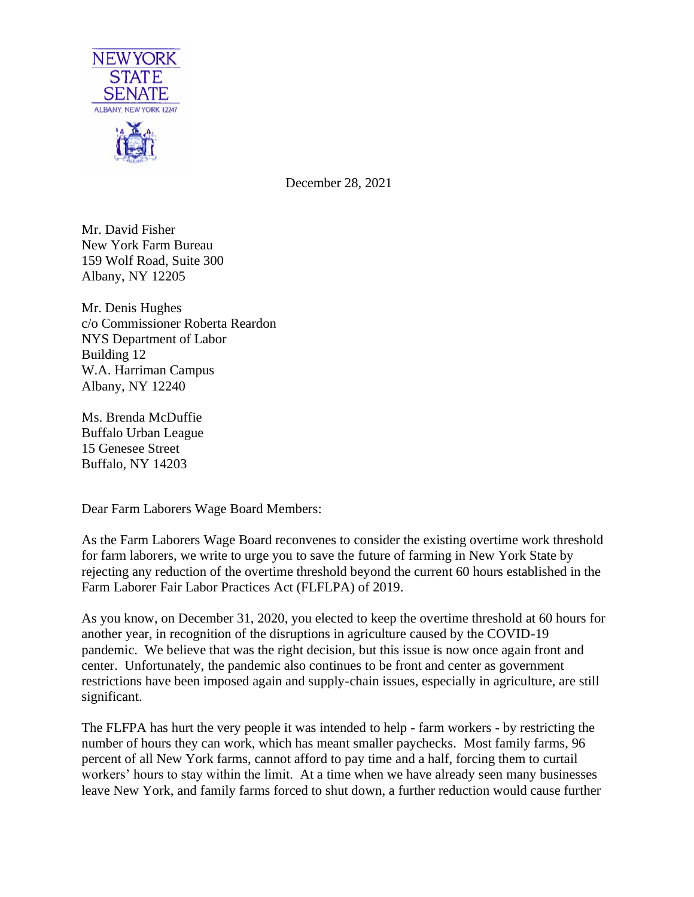

December 28, 2021

Mr. David Fisher New York Farm Bureau 159 Wolf Road, Suite 300 Albany, NY 12205

Mr. Denis Hughes c/o Commissioner Roberta Reardon NYS Department of Labor Building 12 W.A. Harriman Campus Albany, NY 12240

Ms. Brenda McDuffie Buffalo Urban League 15 Genesee Street Buffalo, NY 14203

Dear Farm Laborers Wage Board Members:

As the Farm Laborers Wage Board reconvenes to consider the existing overtime work threshold for farm laborers, we write to urge you to save the future of farming in New York State by rejecting any reduction of the overtime threshold beyond the current 60 hours established in the Farm Laborer Fair Labor Practices Act (FLFLPA) of 2019.

As you know, on December 31, 2020, you elected to keep the overtime threshold at 60 hours for another year, in recognition of the disruptions in agriculture caused by the COVID-19 pandemic. We believe that was the right decision, but this issue is now once again front and center. Unfortunately, the pandemic also continues to be front and center as government restrictions have been imposed again and supply-chain issues, especially in agriculture, are still significant.

The FLFPA has hurt the very people it was intended to help - farm workers - by restricting the number of hours they can work, which has meant smaller paychecks. Most family farms, 96 percent of all New York farms, cannot afford to pay time and a half, forcing them to curtail workers' hours to stay within the limit. At a time when we have already seen many businesses leave New York, and family farms forced to shut down, a further reduction would cause further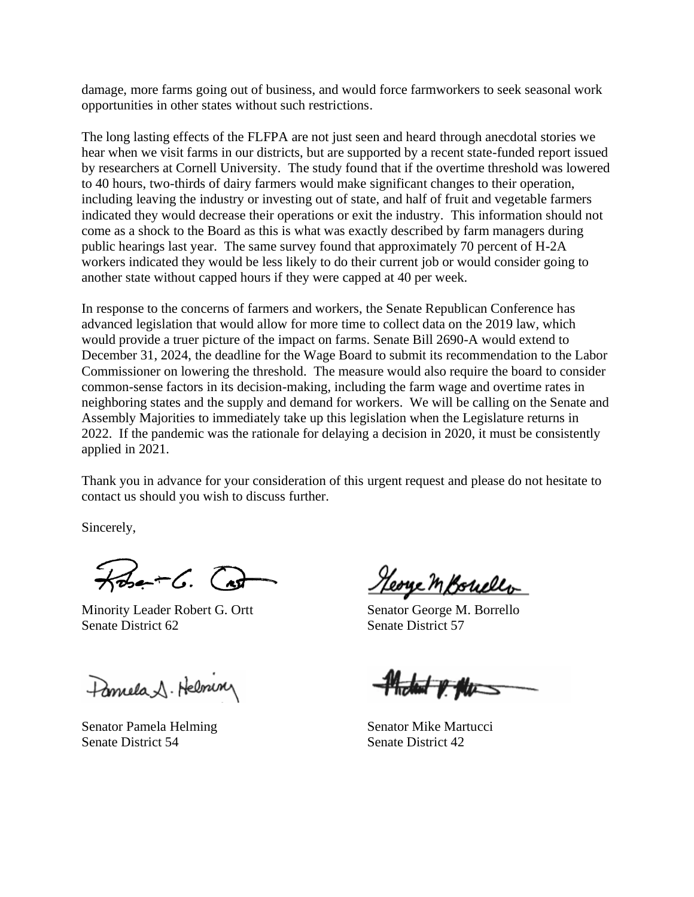damage, more farms going out of business, and would force farmworkers to seek seasonal work opportunities in other states without such restrictions.

The long lasting effects of the FLFPA are not just seen and heard through anecdotal stories we hear when we visit farms in our districts, but are supported by a recent state-funded report issued by researchers at Cornell University. The study found that if the overtime threshold was lowered to 40 hours, two-thirds of dairy farmers would make significant changes to their operation, including leaving the industry or investing out of state, and half of fruit and vegetable farmers indicated they would decrease their operations or exit the industry. This information should not come as a shock to the Board as this is what was exactly described by farm managers during public hearings last year. The same survey found that approximately 70 percent of H-2A workers indicated they would be less likely to do their current job or would consider going to another state without capped hours if they were capped at 40 per week.

In response to the concerns of farmers and workers, the Senate Republican Conference has advanced legislation that would allow for more time to collect data on the 2019 law, which would provide a truer picture of the impact on farms. Senate Bill 2690-A would extend to December 31, 2024, the deadline for the Wage Board to submit its recommendation to the Labor Commissioner on lowering the threshold. The measure would also require the board to consider common-sense factors in its decision-making, including the farm wage and overtime rates in neighboring states and the supply and demand for workers. We will be calling on the Senate and Assembly Majorities to immediately take up this legislation when the Legislature returns in 2022. If the pandemic was the rationale for delaying a decision in 2020, it must be consistently applied in 2021.

Thank you in advance for your consideration of this urgent request and please do not hesitate to contact us should you wish to discuss further.

Sincerely,

 $k$ bet G. Ca

Minority Leader Robert G. Ortt Senator George M. Borrello Senate District 62 Senate District 57

Familla 1. Helminy

Senator Pamela Helming Senator Mike Martucci Senate District 54 Senate District 42

Heorge M Bouller